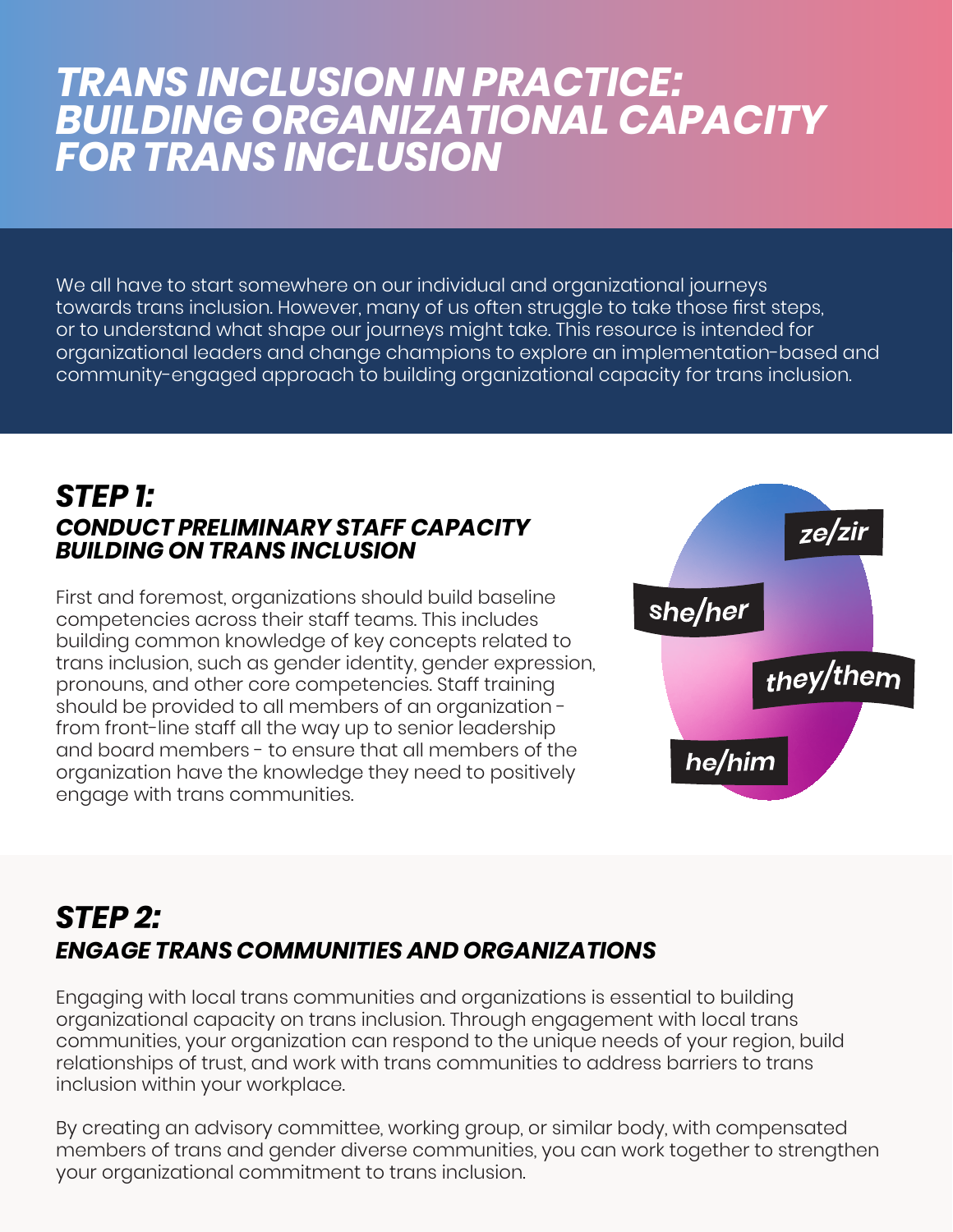# *TRANS INCLUSION IN PRACTICE: BUILDING ORGANIZATIONAL CAPACITY FOR TRANS INCLUSION*

We all have to start somewhere on our individual and organizational journeys towards trans inclusion. However, many of us often struggle to take those first steps, or to understand what shape our journeys might take. This resource is intended for organizational leaders and change champions to explore an implementation-based and community-engaged approach to building organizational capacity for trans inclusion.

#### *STEP 1: CONDUCT PRELIMINARY STAFF CAPACITY BUILDING ON TRANS INCLUSION*

First and foremost, organizations should build baseline competencies across their staff teams. This includes building common knowledge of key concepts related to trans inclusion, such as gender identity, gender expression, pronouns, and other core competencies. Staff training should be provided to all members of an organization from front-line staff all the way up to senior leadership and board members - to ensure that all members of the organization have the knowledge they need to positively engage with trans communities.



#### *STEP 2: ENGAGE TRANS COMMUNITIES AND ORGANIZATIONS*

Engaging with local trans communities and organizations is essential to building organizational capacity on trans inclusion. Through engagement with local trans communities, your organization can respond to the unique needs of your region, build relationships of trust, and work with trans communities to address barriers to trans inclusion within your workplace.

By creating an advisory committee, working group, or similar body, with compensated members of trans and gender diverse communities, you can work together to strengthen your organizational commitment to trans inclusion.